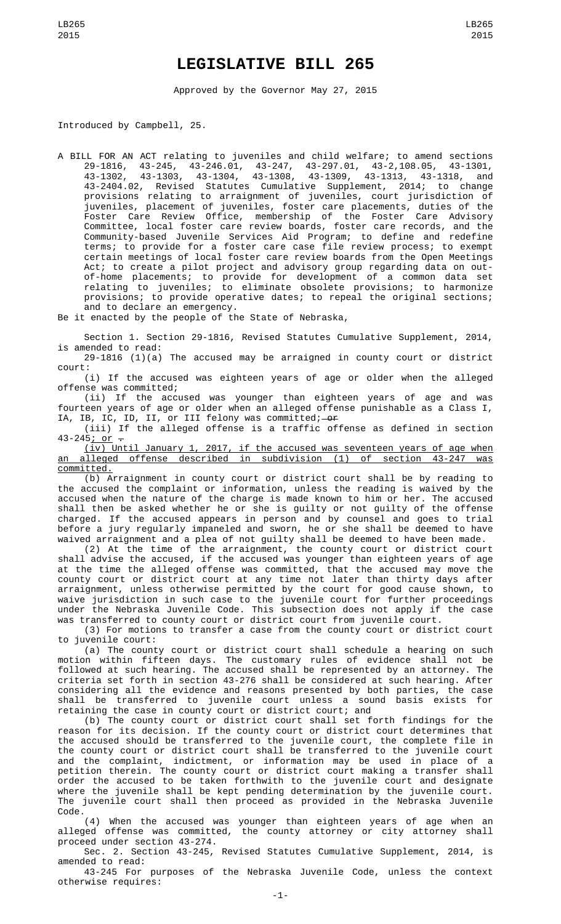## **LEGISLATIVE BILL 265**

Approved by the Governor May 27, 2015

Introduced by Campbell, 25.

A BILL FOR AN ACT relating to juveniles and child welfare; to amend sections 29-1816, 43-245, 43-246.01, 43-247, 43-297.01, 43-2,108.05, 43-1301, 43-1302, 43-1303, 43-1304, 43-1308, 43-1309, 43-1313, 43-1318, and 43-2404.02, Revised Statutes Cumulative Supplement, 2014; to change provisions relating to arraignment of juveniles, court jurisdiction of juveniles, placement of juveniles, foster care placements, duties of the Foster Care Review Office, membership of the Foster Care Advisory Committee, local foster care review boards, foster care records, and the Community-based Juvenile Services Aid Program; to define and redefine terms; to provide for a foster care case file review process; to exempt certain meetings of local foster care review boards from the Open Meetings Act; to create a pilot project and advisory group regarding data on outof-home placements; to provide for development of a common data set relating to juveniles; to eliminate obsolete provisions; to harmonize provisions; to provide operative dates; to repeal the original sections; and to declare an emergency.

Be it enacted by the people of the State of Nebraska,

Section 1. Section 29-1816, Revised Statutes Cumulative Supplement, 2014, is amended to read:

29-1816 (1)(a) The accused may be arraigned in county court or district court:

(i) If the accused was eighteen years of age or older when the alleged offense was committed;

(ii) If the accused was younger than eighteen years of age and was fourteen years of age or older when an alleged offense punishable as a Class I, IA, IB, IC, ID, II, or III felony was committed;—<del>or</del>

(iii) If the alleged offense is a traffic offense as defined in section  $43 - 245$ ; or  $-$ 

(iv) Until January 1, 2017, if the accused was seventeen years of age when an alleged offense described in subdivision (1) of section 43-247 was committed.

(b) Arraignment in county court or district court shall be by reading to the accused the complaint or information, unless the reading is waived by the accused when the nature of the charge is made known to him or her. The accused shall then be asked whether he or she is guilty or not guilty of the offense charged. If the accused appears in person and by counsel and goes to trial before a jury regularly impaneled and sworn, he or she shall be deemed to have waived arraignment and a plea of not guilty shall be deemed to have been made.

(2) At the time of the arraignment, the county court or district court shall advise the accused, if the accused was younger than eighteen years of age at the time the alleged offense was committed, that the accused may move the county court or district court at any time not later than thirty days after arraignment, unless otherwise permitted by the court for good cause shown, to waive jurisdiction in such case to the juvenile court for further proceedings under the Nebraska Juvenile Code. This subsection does not apply if the case was transferred to county court or district court from juvenile court.

(3) For motions to transfer a case from the county court or district court to juvenile court:

(a) The county court or district court shall schedule a hearing on such motion within fifteen days. The customary rules of evidence shall not be followed at such hearing. The accused shall be represented by an attorney. The criteria set forth in section 43-276 shall be considered at such hearing. After considering all the evidence and reasons presented by both parties, the case shall be transferred to juvenile court unless a sound basis exists for retaining the case in county court or district court; and

(b) The county court or district court shall set forth findings for the reason for its decision. If the county court or district court determines that the accused should be transferred to the juvenile court, the complete file in the county court or district court shall be transferred to the juvenile court and the complaint, indictment, or information may be used in place of a petition therein. The county court or district court making a transfer shall order the accused to be taken forthwith to the juvenile court and designate where the juvenile shall be kept pending determination by the juvenile court. The juvenile court shall then proceed as provided in the Nebraska Juvenile Code.

(4) When the accused was younger than eighteen years of age when an alleged offense was committed, the county attorney or city attorney shall proceed under section 43-274.

Sec. 2. Section 43-245, Revised Statutes Cumulative Supplement, 2014, is amended to read:

43-245 For purposes of the Nebraska Juvenile Code, unless the context otherwise requires: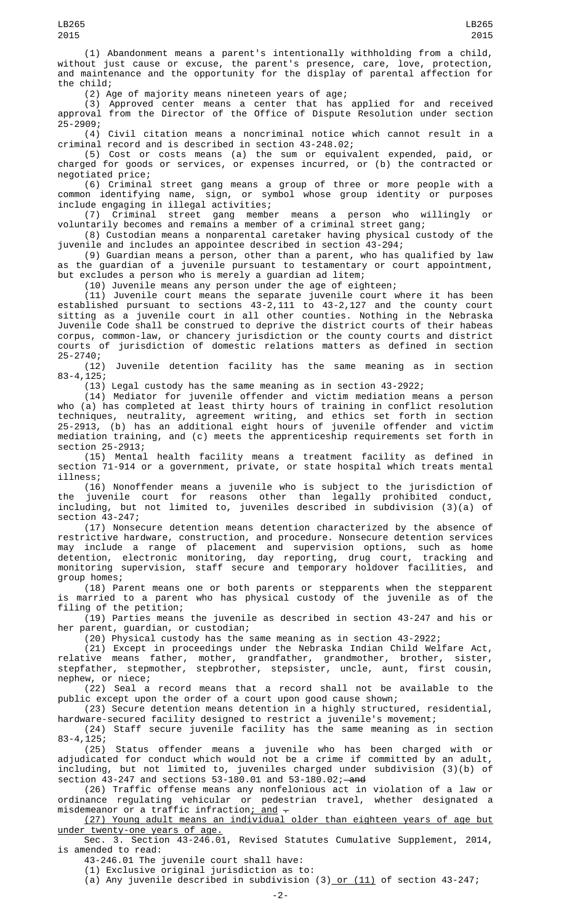(1) Abandonment means a parent's intentionally withholding from a child, without just cause or excuse, the parent's presence, care, love, protection, and maintenance and the opportunity for the display of parental affection for the child;

(2) Age of majority means nineteen years of age;

(3) Approved center means a center that has applied for and received approval from the Director of the Office of Dispute Resolution under section 25-2909;

(4) Civil citation means a noncriminal notice which cannot result in a criminal record and is described in section 43-248.02;

(5) Cost or costs means (a) the sum or equivalent expended, paid, or charged for goods or services, or expenses incurred, or (b) the contracted or negotiated price;

(6) Criminal street gang means a group of three or more people with a common identifying name, sign, or symbol whose group identity or purposes include engaging in illegal activities;

(7) Criminal street gang member means a person who willingly or voluntarily becomes and remains a member of a criminal street gang;

(8) Custodian means a nonparental caretaker having physical custody of the juvenile and includes an appointee described in section 43-294;

(9) Guardian means a person, other than a parent, who has qualified by law as the guardian of a juvenile pursuant to testamentary or court appointment, but excludes a person who is merely a guardian ad litem;

(10) Juvenile means any person under the age of eighteen;

(11) Juvenile court means the separate juvenile court where it has been established pursuant to sections 43-2,111 to 43-2,127 and the county court sitting as a juvenile court in all other counties. Nothing in the Nebraska Juvenile Code shall be construed to deprive the district courts of their habeas corpus, common-law, or chancery jurisdiction or the county courts and district courts of jurisdiction of domestic relations matters as defined in section

25-2740; Juvenile detention facility has the same meaning as in section  $83 - 4, 125;$ 

(13) Legal custody has the same meaning as in section 43-2922;

(14) Mediator for juvenile offender and victim mediation means a person who (a) has completed at least thirty hours of training in conflict resolution techniques, neutrality, agreement writing, and ethics set forth in section 25-2913, (b) has an additional eight hours of juvenile offender and victim mediation training, and (c) meets the apprenticeship requirements set forth in section 25-2913;

(15) Mental health facility means a treatment facility as defined in section 71-914 or a government, private, or state hospital which treats mental illness;

(16) Nonoffender means a juvenile who is subject to the jurisdiction of the juvenile court for reasons other than legally prohibited conduct, including, but not limited to, juveniles described in subdivision (3)(a) of section 43-247;

(17) Nonsecure detention means detention characterized by the absence of restrictive hardware, construction, and procedure. Nonsecure detention services may include a range of placement and supervision options, such as home detention, electronic monitoring, day reporting, drug court, tracking and monitoring supervision, staff secure and temporary holdover facilities, and group homes;

(18) Parent means one or both parents or stepparents when the stepparent is married to a parent who has physical custody of the juvenile as of the filing of the petition;

(19) Parties means the juvenile as described in section 43-247 and his or her parent, guardian, or custodian;

(20) Physical custody has the same meaning as in section 43-2922;

(21) Except in proceedings under the Nebraska Indian Child Welfare Act, relative means father, mother, grandfather, grandmother, brother, sister, stepfather, stepmother, stepbrother, stepsister, uncle, aunt, first cousin, nephew, or niece;

(22) Seal a record means that a record shall not be available to the public except upon the order of a court upon good cause shown;

(23) Secure detention means detention in a highly structured, residential, hardware-secured facility designed to restrict a juvenile's movement;

(24) Staff secure juvenile facility has the same meaning as in section  $83 - 4, 125;$ 

(25) Status offender means a juvenile who has been charged with or adjudicated for conduct which would not be a crime if committed by an adult, including, but not limited to, juveniles charged under subdivision (3)(b) of section  $43-247$  and sections  $53-180.01$  and  $53-180.02$ ; and

(26) Traffic offense means any nonfelonious act in violation of a law or ordinance regulating vehicular or pedestrian travel, whether designated a misdemeanor or a traffic infraction<u>; and</u>  $\hbox{-}$ 

(27) Young adult means an individual older than eighteen years of age but under twenty-one years of age.

Sec. 3. Section 43-246.01, Revised Statutes Cumulative Supplement, 2014, is amended to read:

43-246.01 The juvenile court shall have:

(1) Exclusive original jurisdiction as to:

(a) Any juvenile described in subdivision  $(3)$  or  $(11)$  of section 43-247;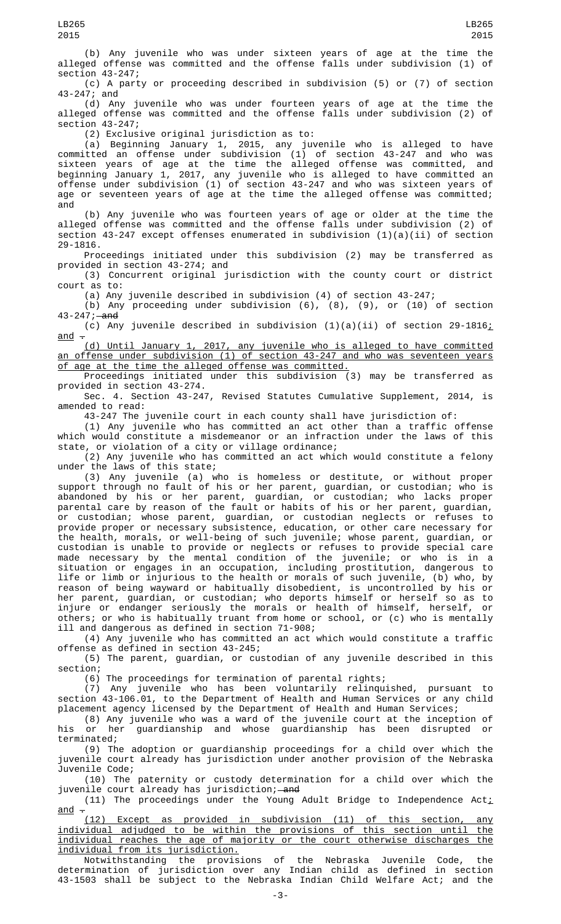(b) Any juvenile who was under sixteen years of age at the time the alleged offense was committed and the offense falls under subdivision (1) of section 43-247;

(c) A party or proceeding described in subdivision (5) or (7) of section 43-247; and

(d) Any juvenile who was under fourteen years of age at the time the alleged offense was committed and the offense falls under subdivision (2) of section 43-247;

(2) Exclusive original jurisdiction as to:

(a) Beginning January 1, 2015, any juvenile who is alleged to have committed an offense under subdivision (1) of section 43-247 and who was sixteen years of age at the time the alleged offense was committed, and beginning January 1, 2017, any juvenile who is alleged to have committed an offense under subdivision (1) of section 43-247 and who was sixteen years of age or seventeen years of age at the time the alleged offense was committed; and

(b) Any juvenile who was fourteen years of age or older at the time the alleged offense was committed and the offense falls under subdivision (2) of section 43-247 except offenses enumerated in subdivision (1)(a)(ii) of section 29-1816.

Proceedings initiated under this subdivision (2) may be transferred as provided in section 43-274; and

(3) Concurrent original jurisdiction with the county court or district court as to:

(a) Any juvenile described in subdivision (4) of section 43-247;

(b) Any proceeding under subdivision (6), (8), (9), or (10) of section 43-247; and

(c) Any juvenile described in subdivision  $(1)(a)(ii)$  of section 29-1816; and  $\overline{z}$ 

(d) Until January 1, 2017, any juvenile who is alleged to have committed an offense under subdivision (1) of section 43-247 and who was seventeen years of age at the time the alleged offense was committed.

Proceedings initiated under this subdivision (3) may be transferred as provided in section 43-274.

Sec. 4. Section 43-247, Revised Statutes Cumulative Supplement, 2014, is amended to read:

43-247 The juvenile court in each county shall have jurisdiction of:

(1) Any juvenile who has committed an act other than a traffic offense which would constitute a misdemeanor or an infraction under the laws of this state, or violation of a city or village ordinance;

(2) Any juvenile who has committed an act which would constitute a felony under the laws of this state;

(3) Any juvenile (a) who is homeless or destitute, or without proper support through no fault of his or her parent, guardian, or custodian; who is abandoned by his or her parent, guardian, or custodian; who lacks proper parental care by reason of the fault or habits of his or her parent, guardian, or custodian; whose parent, guardian, or custodian neglects or refuses to provide proper or necessary subsistence, education, or other care necessary for the health, morals, or well-being of such juvenile; whose parent, guardian, or custodian is unable to provide or neglects or refuses to provide special care made necessary by the mental condition of the juvenile; or who is in a situation or engages in an occupation, including prostitution, dangerous to life or limb or injurious to the health or morals of such juvenile, (b) who, by reason of being wayward or habitually disobedient, is uncontrolled by his or her parent, guardian, or custodian; who deports himself or herself so as to injure or endanger seriously the morals or health of himself, herself, or others; or who is habitually truant from home or school, or (c) who is mentally ill and dangerous as defined in section 71-908;

(4) Any juvenile who has committed an act which would constitute a traffic offense as defined in section 43-245;

(5) The parent, guardian, or custodian of any juvenile described in this section;

(6) The proceedings for termination of parental rights;

(7) Any juvenile who has been voluntarily relinquished, pursuant to section 43-106.01, to the Department of Health and Human Services or any child placement agency licensed by the Department of Health and Human Services;

(8) Any juvenile who was a ward of the juvenile court at the inception of his or her guardianship and whose guardianship has been disrupted or terminated;

(9) The adoption or guardianship proceedings for a child over which the juvenile court already has jurisdiction under another provision of the Nebraska Juvenile Code;

(10) The paternity or custody determination for a child over which the juvenile court already has jurisdiction;—<del>and</del>

(11) The proceedings under the Young Adult Bridge to Independence Act<u>;</u>  $and -$ 

(12) Except as provided in subdivision (11) of this section, any individual adjudged to be within the provisions of this section until the individual reaches the age of majority or the court otherwise discharges the individual from its jurisdiction.

Notwithstanding the provisions of the Nebraska Juvenile Code, the determination of jurisdiction over any Indian child as defined in section 43-1503 shall be subject to the Nebraska Indian Child Welfare Act; and the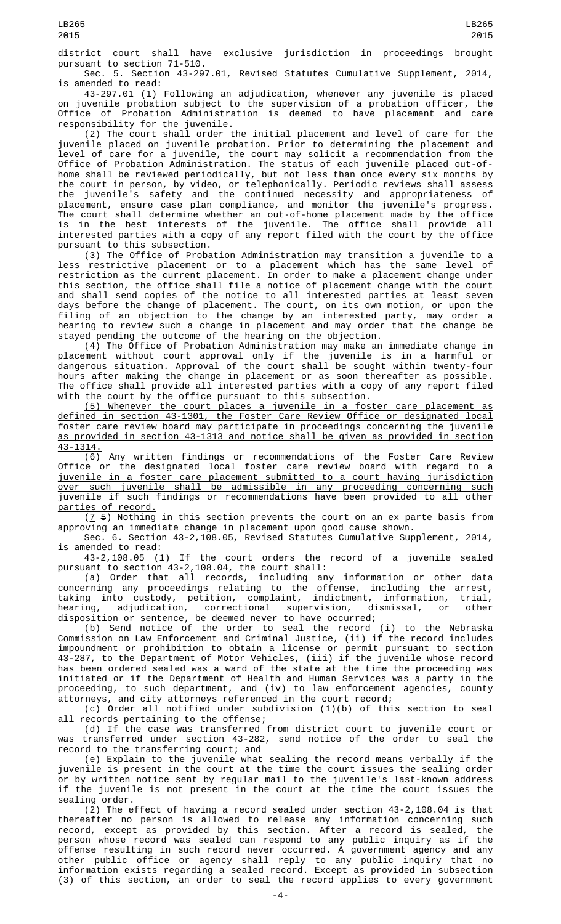district court shall have exclusive jurisdiction in proceedings brought pursuant to section 71-510.

Sec. 5. Section 43-297.01, Revised Statutes Cumulative Supplement, 2014, is amended to read:

43-297.01 (1) Following an adjudication, whenever any juvenile is placed on juvenile probation subject to the supervision of a probation officer, the Office of Probation Administration is deemed to have placement and care responsibility for the juvenile.

(2) The court shall order the initial placement and level of care for the juvenile placed on juvenile probation. Prior to determining the placement and level of care for a juvenile, the court may solicit a recommendation from the Office of Probation Administration. The status of each juvenile placed out-ofhome shall be reviewed periodically, but not less than once every six months by the court in person, by video, or telephonically. Periodic reviews shall assess the juvenile's safety and the continued necessity and appropriateness of placement, ensure case plan compliance, and monitor the juvenile's progress. The court shall determine whether an out-of-home placement made by the office is in the best interests of the juvenile. The office shall provide all interested parties with a copy of any report filed with the court by the office pursuant to this subsection.

(3) The Office of Probation Administration may transition a juvenile to a less restrictive placement or to a placement which has the same level of restriction as the current placement. In order to make a placement change under this section, the office shall file a notice of placement change with the court and shall send copies of the notice to all interested parties at least seven days before the change of placement. The court, on its own motion, or upon the filing of an objection to the change by an interested party, may order a hearing to review such a change in placement and may order that the change be stayed pending the outcome of the hearing on the objection.

(4) The Office of Probation Administration may make an immediate change in placement without court approval only if the juvenile is in a harmful or dangerous situation. Approval of the court shall be sought within twenty-four hours after making the change in placement or as soon thereafter as possible. The office shall provide all interested parties with a copy of any report filed with the court by the office pursuant to this subsection.

(5) Whenever the court places a juvenile in a foster care placement as defined in section 43-1301, the Foster Care Review Office or designated local foster care review board may participate in proceedings concerning the juvenile as provided in section 43-1313 and notice shall be given as provided in section 43-1314.

(6) Any written findings or recommendations of the Foster Care Review Office or the designated local foster care review board with regard to a juvenile in a foster care placement submitted to a court having jurisdiction over such juvenile shall be admissible in any proceeding concerning such juvenile if such findings or recommendations have been provided to all other parties of record.

 $(7, 5)$  Nothing in this section prevents the court on an ex parte basis from approving an immediate change in placement upon good cause shown.

Sec. 6. Section 43-2,108.05, Revised Statutes Cumulative Supplement, 2014, is amended to read:

43-2,108.05 (1) If the court orders the record of a juvenile sealed pursuant to section 43-2,108.04, the court shall:

(a) Order that all records, including any information or other data concerning any proceedings relating to the offense, including the arrest, taking into custody, petition, complaint, indictment, information, trial, hearing, adjudication, correctional supervision, dismissal, or other disposition or sentence, be deemed never to have occurred;

(b) Send notice of the order to seal the record (i) to the Nebraska Commission on Law Enforcement and Criminal Justice, (ii) if the record includes impoundment or prohibition to obtain a license or permit pursuant to section 43-287, to the Department of Motor Vehicles, (iii) if the juvenile whose record has been ordered sealed was a ward of the state at the time the proceeding was initiated or if the Department of Health and Human Services was a party in the proceeding, to such department, and (iv) to law enforcement agencies, county attorneys, and city attorneys referenced in the court record;

(c) Order all notified under subdivision (1)(b) of this section to seal all records pertaining to the offense;

(d) If the case was transferred from district court to juvenile court or was transferred under section 43-282, send notice of the order to seal the record to the transferring court; and

(e) Explain to the juvenile what sealing the record means verbally if the juvenile is present in the court at the time the court issues the sealing order or by written notice sent by regular mail to the juvenile's last-known address if the juvenile is not present in the court at the time the court issues the sealing order.

(2) The effect of having a record sealed under section 43-2,108.04 is that thereafter no person is allowed to release any information concerning such record, except as provided by this section. After a record is sealed, the person whose record was sealed can respond to any public inquiry as if the offense resulting in such record never occurred. A government agency and any other public office or agency shall reply to any public inquiry that no information exists regarding a sealed record. Except as provided in subsection (3) of this section, an order to seal the record applies to every government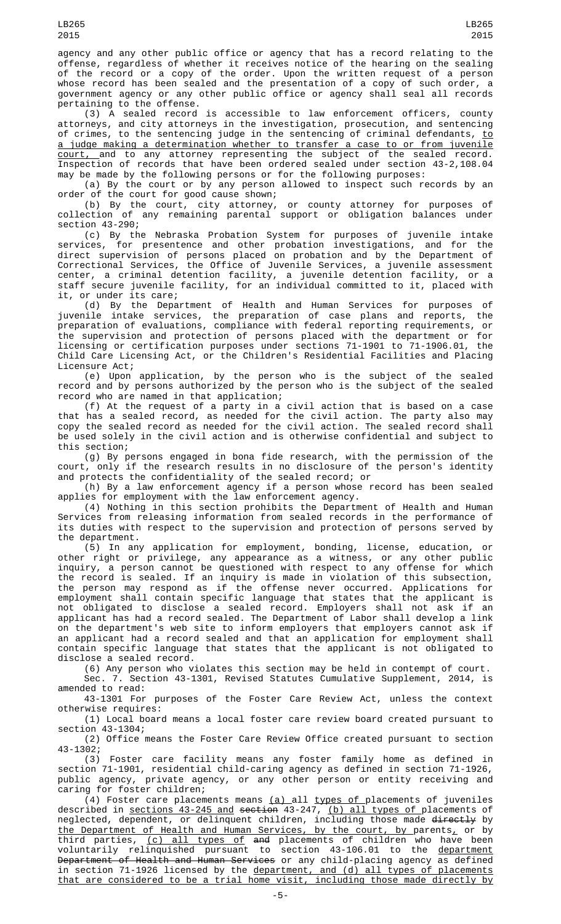agency and any other public office or agency that has a record relating to the offense, regardless of whether it receives notice of the hearing on the sealing of the record or a copy of the order. Upon the written request of a person whose record has been sealed and the presentation of a copy of such order, a government agency or any other public office or agency shall seal all records pertaining to the offense.

(3) A sealed record is accessible to law enforcement officers, county attorneys, and city attorneys in the investigation, prosecution, and sentencing of crimes, to the sentencing judge in the sentencing of criminal defendants, <u>to</u> a judge making a determination whether to transfer a case to or from juvenile court, and to any attorney representing the subject of the sealed record. Inspection of records that have been ordered sealed under section 43-2,108.04 may be made by the following persons or for the following purposes:

(a) By the court or by any person allowed to inspect such records by an order of the court for good cause shown;

(b) By the court, city attorney, or county attorney for purposes of collection of any remaining parental support or obligation balances under section 43-290;

(c) By the Nebraska Probation System for purposes of juvenile intake services, for presentence and other probation investigations, and for the direct supervision of persons placed on probation and by the Department of Correctional Services, the Office of Juvenile Services, a juvenile assessment center, a criminal detention facility, a juvenile detention facility, or a staff secure juvenile facility, for an individual committed to it, placed with it, or under its care;

(d) By the Department of Health and Human Services for purposes of juvenile intake services, the preparation of case plans and reports, the preparation of evaluations, compliance with federal reporting requirements, or the supervision and protection of persons placed with the department or for licensing or certification purposes under sections 71-1901 to 71-1906.01, the Child Care Licensing Act, or the Children's Residential Facilities and Placing Licensure Act;

(e) Upon application, by the person who is the subject of the sealed record and by persons authorized by the person who is the subject of the sealed record who are named in that application;

(f) At the request of a party in a civil action that is based on a case that has a sealed record, as needed for the civil action. The party also may copy the sealed record as needed for the civil action. The sealed record shall be used solely in the civil action and is otherwise confidential and subject to this section;

(g) By persons engaged in bona fide research, with the permission of the court, only if the research results in no disclosure of the person's identity and protects the confidentiality of the sealed record; or

(h) By a law enforcement agency if a person whose record has been sealed applies for employment with the law enforcement agency.

(4) Nothing in this section prohibits the Department of Health and Human Services from releasing information from sealed records in the performance of its duties with respect to the supervision and protection of persons served by the department.

(5) In any application for employment, bonding, license, education, or other right or privilege, any appearance as a witness, or any other public inquiry, a person cannot be questioned with respect to any offense for which the record is sealed. If an inquiry is made in violation of this subsection, the person may respond as if the offense never occurred. Applications for employment shall contain specific language that states that the applicant is not obligated to disclose a sealed record. Employers shall not ask if an applicant has had a record sealed. The Department of Labor shall develop a link on the department's web site to inform employers that employers cannot ask if an applicant had a record sealed and that an application for employment shall contain specific language that states that the applicant is not obligated to disclose a sealed record.

(6) Any person who violates this section may be held in contempt of court.

Sec. 7. Section 43-1301, Revised Statutes Cumulative Supplement, 2014, is amended to read:

43-1301 For purposes of the Foster Care Review Act, unless the context otherwise requires:

(1) Local board means a local foster care review board created pursuant to section 43-1304;

(2) Office means the Foster Care Review Office created pursuant to section 43-1302;

(3) Foster care facility means any foster family home as defined in section 71-1901, residential child-caring agency as defined in section 71-1926, public agency, private agency, or any other person or entity receiving and caring for foster children;

(4) Foster care placements means <u>(a) all types of p</u>lacements of juveniles described in sections 43-245 and section 43-247, (b) all types of placements of neglected, dependent, or delinquent children, including those made <del>directly</del> by the Department of Health and Human Services, by the court, by parents, or by third parties, <u>(c) all types of</u> <del>and</del> placements of children who have been voluntarily relinquished pursuant to section 43-106.01 to the <u>department</u> Department of Health and Human Services or any child-placing agency as defined in section 71-1926 licensed by the department, and (d) all types of placements that are considered to be a trial home visit, including those made directly by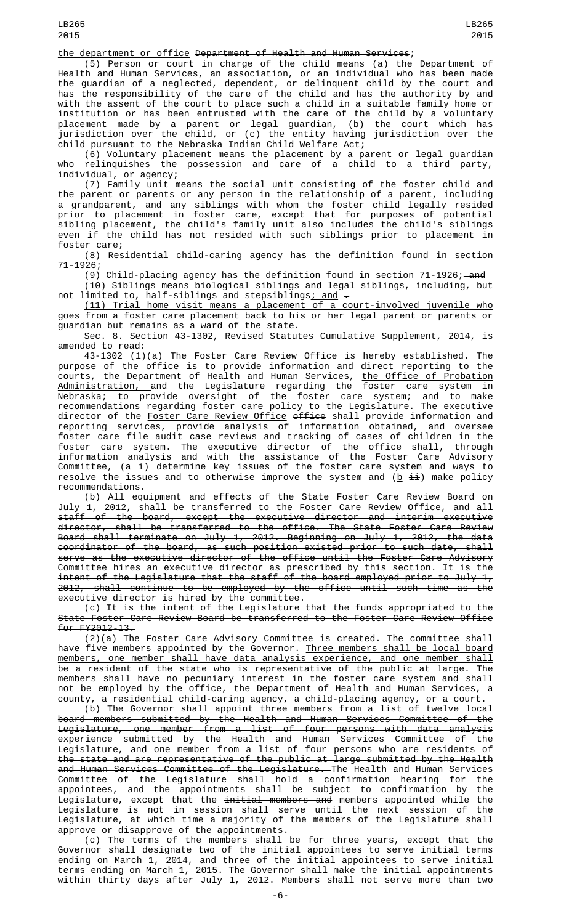## the department or office Department of Health and Human Services;

(5) Person or court in charge of the child means (a) the Department of Health and Human Services, an association, or an individual who has been made the guardian of a neglected, dependent, or delinquent child by the court and has the responsibility of the care of the child and has the authority by and with the assent of the court to place such a child in a suitable family home or institution or has been entrusted with the care of the child by a voluntary placement made by a parent or legal guardian, (b) the court which has jurisdiction over the child, or (c) the entity having jurisdiction over the child pursuant to the Nebraska Indian Child Welfare Act;

(6) Voluntary placement means the placement by a parent or legal guardian who relinquishes the possession and care of a child to a third party, individual, or agency;

(7) Family unit means the social unit consisting of the foster child and the parent or parents or any person in the relationship of a parent, including a grandparent, and any siblings with whom the foster child legally resided prior to placement in foster care, except that for purposes of potential sibling placement, the child's family unit also includes the child's siblings even if the child has not resided with such siblings prior to placement in foster care;

(8) Residential child-caring agency has the definition found in section 71-1926;

(9) Child-placing agency has the definition found in section  $71-1926$ ; and (10) Siblings means biological siblings and legal siblings, including, but

not limited to, half-siblings and stepsiblings<u>; and</u>  $\hbox{-}$ (11) Trial home visit means a placement of a court-involved juvenile who goes from a foster care placement back to his or her legal parent or parents or

guardian but remains as a ward of the state.

Sec. 8. Section 43-1302, Revised Statutes Cumulative Supplement, 2014, is amended to read:

43-1302 (1) $(a)$  The Foster Care Review Office is hereby established. The purpose of the office is to provide information and direct reporting to the courts, the Department of Health and Human Services, <u>the Office of Probation</u> Administration, and the Legislature regarding the foster care system in Nebraska; to provide oversight of the foster care system; and to make recommendations regarding foster care policy to the Legislature. The executive director of the <u>Foster Care Review Office</u> <del>office</del> shall provide information and reporting services, provide analysis of information obtained, and oversee foster care file audit case reviews and tracking of cases of children in the foster care system. The executive director of the office shall, through information analysis and with the assistance of the Foster Care Advisory Committee, (<u>a</u> ɨ) determine key issues of the foster care system and ways to resolve the issues and to otherwise improve the system and  $(\underline{b} \pm \underline{i})$  make policy recommendations.

(b) All equipment and effects of the State Foster Care Review Board on July 1, 2012, shall be transferred to the Foster Care Review Office, and all staff of the board, except the executive director and interim executive director, shall be transferred to the office. The State Foster Care Review Board shall terminate on July 1, 2012. Beginning on July 1, 2012, the data coordinator of the board, as such position existed prior to such date, shall serve as the executive director of the office until the Foster Care Advisory Committee hires an executive director as prescribed by this section. It is the intent of the Legislature that the staff of the board employed prior to July 1, 2012, shall continue to be employed by the office until such time as the executive director is hired by the committee.

(c) It is the intent of the Legislature that the funds appropriated to the State Foster Care Review Board be transferred to the Foster Care Review Office for FY2012-13.

(2)(a) The Foster Care Advisory Committee is created. The committee shall have five members appointed by the Governor. <u>Three members shall be local board</u> members, one member shall have data analysis experience, and one member shall be a resident of the state who is representative of the public at large. The members shall have no pecuniary interest in the foster care system and shall not be employed by the office, the Department of Health and Human Services, a county, a residential child-caring agency, a child-placing agency, or a court.

(b) The Governor shall appoint three members from a list of twelve local board members submitted by the Health and Human Services Committee of the Legislature, one member from a list of four persons with data analysis experience submitted by the Health and Human Services Committee of the Legislature, and one member from a list of four persons who are residents of the state and are representative of the public at large submitted by the Health and Human Services Committee of the Legislature. The Health and Human Services Committee of the Legislature shall hold a confirmation hearing for the appointees, and the appointments shall be subject to confirmation by the Legislature, except that the <del>initial members and</del> members appointed while the Legislature is not in session shall serve until the next session of the Legislature, at which time a majority of the members of the Legislature shall approve or disapprove of the appointments.

(c) The terms of the members shall be for three years, except that the Governor shall designate two of the initial appointees to serve initial terms ending on March 1, 2014, and three of the initial appointees to serve initial terms ending on March 1, 2015. The Governor shall make the initial appointments within thirty days after July 1, 2012. Members shall not serve more than two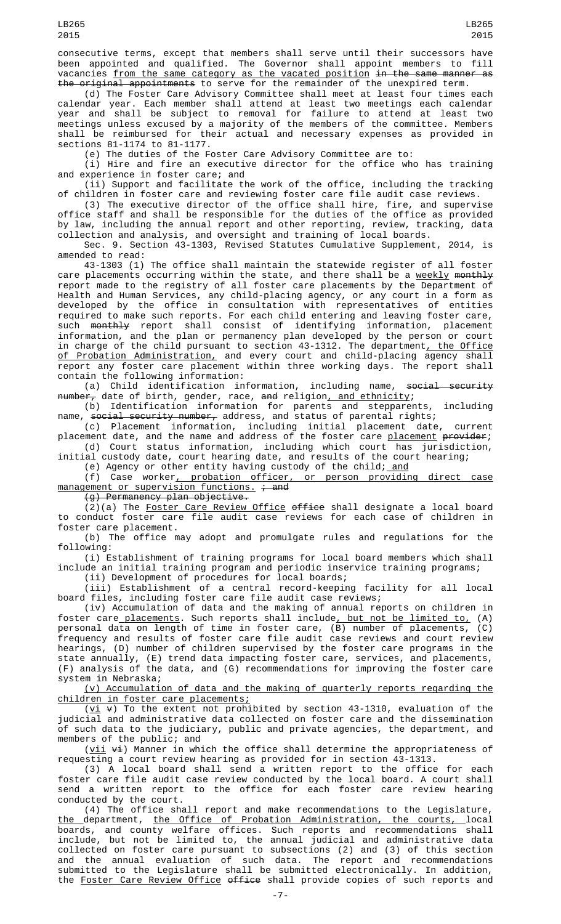consecutive terms, except that members shall serve until their successors have been appointed and qualified. The Governor shall appoint members to fill vacancies from the same category as the vacated position in the same manner as the original appointments to serve for the remainder of the unexpired term.

(d) The Foster Care Advisory Committee shall meet at least four times each calendar year. Each member shall attend at least two meetings each calendar year and shall be subject to removal for failure to attend at least two meetings unless excused by a majority of the members of the committee. Members shall be reimbursed for their actual and necessary expenses as provided in sections 81-1174 to 81-1177.

(e) The duties of the Foster Care Advisory Committee are to:

(i) Hire and fire an executive director for the office who has training and experience in foster care; and

(ii) Support and facilitate the work of the office, including the tracking of children in foster care and reviewing foster care file audit case reviews.

(3) The executive director of the office shall hire, fire, and supervise office staff and shall be responsible for the duties of the office as provided by law, including the annual report and other reporting, review, tracking, data collection and analysis, and oversight and training of local boards.

Sec. 9. Section 43-1303, Revised Statutes Cumulative Supplement, 2014, is amended to read:

43-1303 (1) The office shall maintain the statewide register of all foster care placements occurring within the state, and there shall be a weekly monthly report made to the registry of all foster care placements by the Department of Health and Human Services, any child-placing agency, or any court in a form as developed by the office in consultation with representatives of entities required to make such reports. For each child entering and leaving foster care, such <del>monthly</del> report shall consist of identifying information, placement information, and the plan or permanency plan developed by the person or court in charge of the child pursuant to section 43-1312. The department<u>, the Office</u> of Probation Administration, and every court and child-placing agency shall report any foster care placement within three working days. The report shall contain the following information:

(a) Child identification information, including name, social security number, date of birth, gender, race, and religion, and ethnicity;

(b) Identification information for parents and stepparents, including name, <del>social security number,</del> address, and status of parental rights;

(c) Placement information, including initial placement date, current placement date, and the name and address of the foster care <u>placement</u> <del>provider</del>;

(d) Court status information, including which court has jurisdiction, initial custody date, court hearing date, and results of the court hearing;

(e) Agency or other entity having custody of the child; <u>and</u>

(f) Case worker, probation officer, or person providing direct case  $managenent$  or supervision functions.  $\div$  and

(g) Permanency plan objective.

(2)(a) The <u>Foster Care Review Office</u> o<del>ffice</del> shall designate a local board to conduct foster care file audit case reviews for each case of children in foster care placement.

(b) The office may adopt and promulgate rules and regulations for the following:

(i) Establishment of training programs for local board members which shall include an initial training program and periodic inservice training programs;

(ii) Development of procedures for local boards;

(iii) Establishment of a central record-keeping facility for all local board files, including foster care file audit case reviews;

(iv) Accumulation of data and the making of annual reports on children in foster care placements. Such reports shall include, but not be limited to, (A) personal data on length of time in foster care, (B) number of placements, (C) frequency and results of foster care file audit case reviews and court review hearings, (D) number of children supervised by the foster care programs in the state annually, (E) trend data impacting foster care, services, and placements, (F) analysis of the data, and (G) recommendations for improving the foster care system in Nebraska;

(v) Accumulation of data and the making of quarterly reports regarding the children in foster care placements;

( $vi$   $\leftrightarrow$ ) To the extent not prohibited by section 43-1310, evaluation of the</u> judicial and administrative data collected on foster care and the dissemination of such data to the judiciary, public and private agencies, the department, and members of the public; and

 $(\underline{vii} \forall i)$  Manner in which the office shall determine the appropriateness of requesting a court review hearing as provided for in section 43-1313.

(3) A local board shall send a written report to the office for each foster care file audit case review conducted by the local board. A court shall send a written report to the office for each foster care review hearing conducted by the court.

(4) The office shall report and make recommendations to the Legislature, the department, the Office of Probation Administration, the courts, local boards, and county welfare offices. Such reports and recommendations shall include, but not be limited to, the annual judicial and administrative data collected on foster care pursuant to subsections (2) and (3) of this section and the annual evaluation of such data. The report and recommendations submitted to the Legislature shall be submitted electronically. In addition, the Foster Care Review Office office shall provide copies of such reports and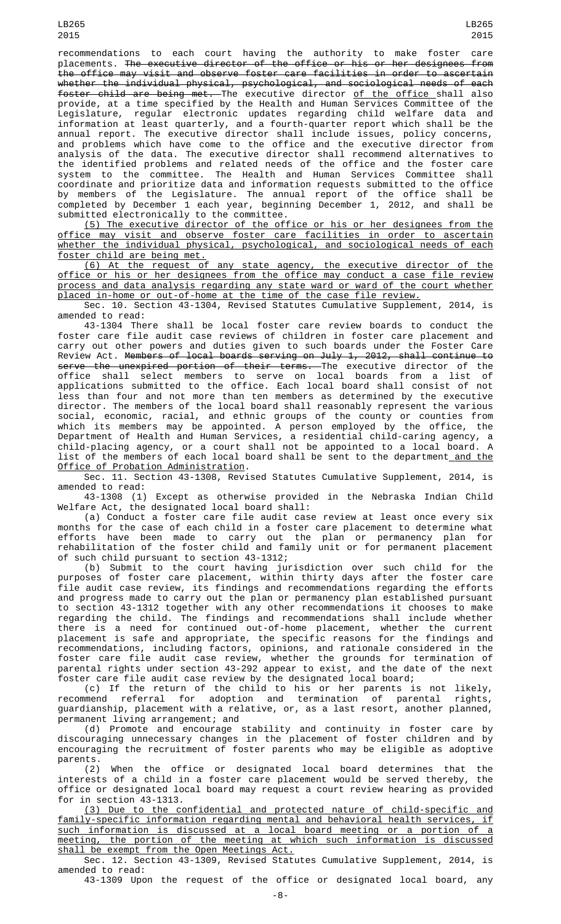LB265

placements. <del>The executive director of the office or his or her designees from</del> the office may visit and observe foster care facilities in order to ascertain whether the individual physical, psychological, and sociological needs of each foster child are being met. The executive director of the office shall also provide, at a time specified by the Health and Human Services Committee of the Legislature, regular electronic updates regarding child welfare data and information at least quarterly, and a fourth-quarter report which shall be the annual report. The executive director shall include issues, policy concerns, and problems which have come to the office and the executive director from analysis of the data. The executive director shall recommend alternatives to the identified problems and related needs of the office and the foster care system to the committee. The Health and Human Services Committee shall coordinate and prioritize data and information requests submitted to the office by members of the Legislature. The annual report of the office shall be completed by December 1 each year, beginning December 1, 2012, and shall be submitted electronically to the committee.

(5) The executive director of the office or his or her designees from the office may visit and observe foster care facilities in order to ascertain whether the individual physical, psychological, and sociological needs of each foster child are being met.

(6) At the request of any state agency, the executive director of the office or his or her designees from the office may conduct a case file review process and data analysis regarding any state ward or ward of the court whether placed in-home or out-of-home at the time of the case file review.

Sec. 10. Section 43-1304, Revised Statutes Cumulative Supplement, 2014, is amended to read:

43-1304 There shall be local foster care review boards to conduct the foster care file audit case reviews of children in foster care placement and carry out other powers and duties given to such boards under the Foster Care Review Act. Members of local boards serving on July 1, 2012, shall continue to serve the unexpired portion of their terms. The executive director of the office shall select members to serve on local boards from a list of applications submitted to the office. Each local board shall consist of not less than four and not more than ten members as determined by the executive director. The members of the local board shall reasonably represent the various social, economic, racial, and ethnic groups of the county or counties from which its members may be appointed. A person employed by the office, the Department of Health and Human Services, a residential child-caring agency, a child-placing agency, or a court shall not be appointed to a local board. A list of the members of each local board shall be sent to the department<u> and the</u> Office of Probation Administration.

Sec. 11. Section 43-1308, Revised Statutes Cumulative Supplement, 2014, is amended to read:

43-1308 (1) Except as otherwise provided in the Nebraska Indian Child Welfare Act, the designated local board shall:

(a) Conduct a foster care file audit case review at least once every six months for the case of each child in a foster care placement to determine what efforts have been made to carry out the plan or permanency plan for rehabilitation of the foster child and family unit or for permanent placement of such child pursuant to section 43-1312;

(b) Submit to the court having jurisdiction over such child for the purposes of foster care placement, within thirty days after the foster care file audit case review, its findings and recommendations regarding the efforts and progress made to carry out the plan or permanency plan established pursuant to section 43-1312 together with any other recommendations it chooses to make regarding the child. The findings and recommendations shall include whether there is a need for continued out-of-home placement, whether the current placement is safe and appropriate, the specific reasons for the findings and recommendations, including factors, opinions, and rationale considered in the foster care file audit case review, whether the grounds for termination of parental rights under section 43-292 appear to exist, and the date of the next foster care file audit case review by the designated local board;

(c) If the return of the child to his or her parents is not likely, recommend referral for adoption and termination of parental rights, guardianship, placement with a relative, or, as a last resort, another planned, permanent living arrangement; and

(d) Promote and encourage stability and continuity in foster care by discouraging unnecessary changes in the placement of foster children and by encouraging the recruitment of foster parents who may be eligible as adoptive parents.

(2) When the office or designated local board determines that the interests of a child in a foster care placement would be served thereby, the office or designated local board may request a court review hearing as provided for in section 43-1313.

(3) Due to the confidential and protected nature of child-specific and family-specific information regarding mental and behavioral health services, if such information is discussed at a local board meeting or a portion of a meeting, the portion of the meeting at which such information is discussed shall be exempt from the Open Meetings Act.

Sec. 12. Section 43-1309, Revised Statutes Cumulative Supplement, 2014, is amended to read:

43-1309 Upon the request of the office or designated local board, any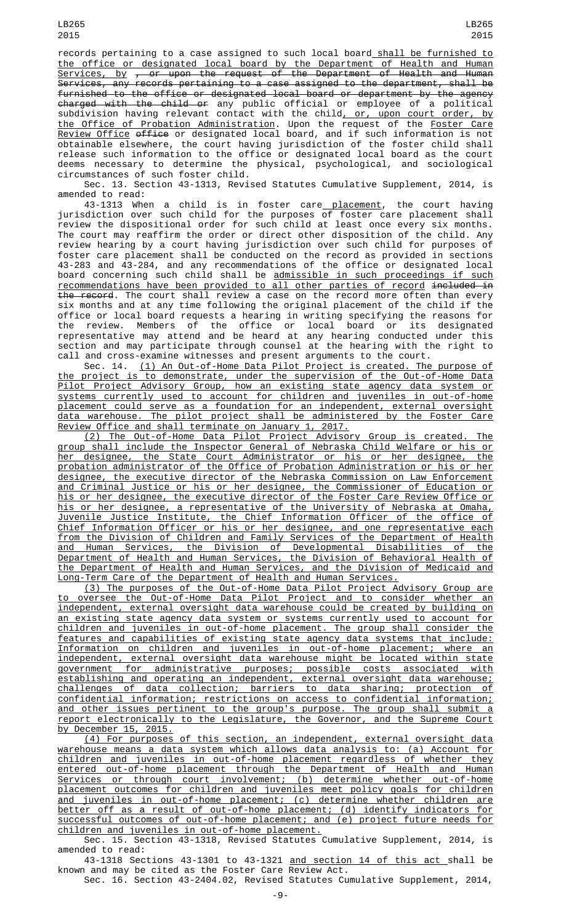records pertaining to a case assigned to such local board shall be furnished to the office or designated local board by the Department of Health and Human Services, by , or upon the request of the Department of Health and Human Services, any records pertaining to a case assigned to the department, shall be furnished to the office or designated local board or department by the agency <del>charged with the child or</del> any public official or employee of a political subdivision having relevant contact with the child<u>, or, upon court order, by</u> <u>the Office of Probation Administration</u>. Upon the request of the <u>Foster Care</u> Review Office office or designated local board, and if such information is not obtainable elsewhere, the court having jurisdiction of the foster child shall release such information to the office or designated local board as the court deems necessary to determine the physical, psychological, and sociological circumstances of such foster child.

Sec. 13. Section 43-1313, Revised Statutes Cumulative Supplement, 2014, is amended to read:

43-1313 When a child is in foster care<u> placement</u>, the court having jurisdiction over such child for the purposes of foster care placement shall review the dispositional order for such child at least once every six months. The court may reaffirm the order or direct other disposition of the child. Any review hearing by a court having jurisdiction over such child for purposes of foster care placement shall be conducted on the record as provided in sections 43-283 and 43-284, and any recommendations of the office or designated local board concerning such child shall be <u>admissible in such proceedings if such</u> recommendations have been provided to all other parties of record included in the record. The court shall review a case on the record more often than every six months and at any time following the original placement of the child if the office or local board requests a hearing in writing specifying the reasons for the review. Members of the office or local board or its designated representative may attend and be heard at any hearing conducted under this section and may participate through counsel at the hearing with the right to call and cross-examine witnesses and present arguments to the court.

Sec. 14. (1) An Out-of-Home Data Pilot Project is created. The purpose of the project is to demonstrate, under the supervision of the Out-of-Home Data Pilot Project Advisory Group, how an existing state agency data system or systems currently used to account for children and juveniles in out-of-home placement could serve as a foundation for an independent, external oversight data warehouse. The pilot project shall be administered by the Foster Care Review Office and shall terminate on January 1, 2017.

(2) The Out-of-Home Data Pilot Project Advisory Group is created. The group shall include the Inspector General of Nebraska Child Welfare or his or her designee, the State Court Administrator or his or her designee, the probation administrator of the Office of Probation Administration or his or her designee, the executive director of the Nebraska Commission on Law Enforcement and Criminal Justice or his or her designee, the Commissioner of Education or his or her designee, the executive director of the Foster Care Review Office or his or her designee, a representative of the University of Nebraska at Omaha, Juvenile Justice Institute, the Chief Information Officer of the office of Chief Information Officer or his or her designee, and one representative each from the Division of Children and Family Services of the Department of Health and Human Services, the Division of Developmental Disabilities of the Department of Health and Human Services, the Division of Behavioral Health of the Department of Health and Human Services, and the Division of Medicaid and Long-Term Care of the Department of Health and Human Services.

(3) The purposes of the Out-of-Home Data Pilot Project Advisory Group are to oversee the Out-of-Home Data Pilot Project and to consider whether an independent, external oversight data warehouse could be created by building on an existing state agency data system or systems currently used to account for children and juveniles in out-of-home placement. The group shall consider the features and capabilities of existing state agency data systems that include: Information on children and juveniles in out-of-home placement; where an independent, external oversight data warehouse might be located within state government for administrative purposes; possible costs associated with establishing and operating an independent, external oversight data warehouse; challenges of data collection; barriers to data sharing; protection of confidential information; restrictions on access to confidential information; and other issues pertinent to the group's purpose. The group shall submit a report electronically to the Legislature, the Governor, and the Supreme Court by December 15, 2015.

(4) For purposes of this section, an independent, external oversight data warehouse means a data system which allows data analysis to: (a) Account for children and juveniles in out-of-home placement regardless of whether they entered out-of-home placement through the Department of Health and Human Services or through court involvement; (b) determine whether out-of-home placement outcomes for children and juveniles meet policy goals for children and juveniles in out-of-home placement; (c) determine whether children are better off as a result of out-of-home placement; (d) identify indicators for successful outcomes of out-of-home placement; and (e) project future needs for children and juveniles in out-of-home placement.

Sec. 15. Section 43-1318, Revised Statutes Cumulative Supplement, 2014, is amended to read:

43-1318 Sections 43-1301 to 43-1321 and section 14 of this act shall be known and may be cited as the Foster Care Review Act.

Sec. 16. Section 43-2404.02, Revised Statutes Cumulative Supplement, 2014,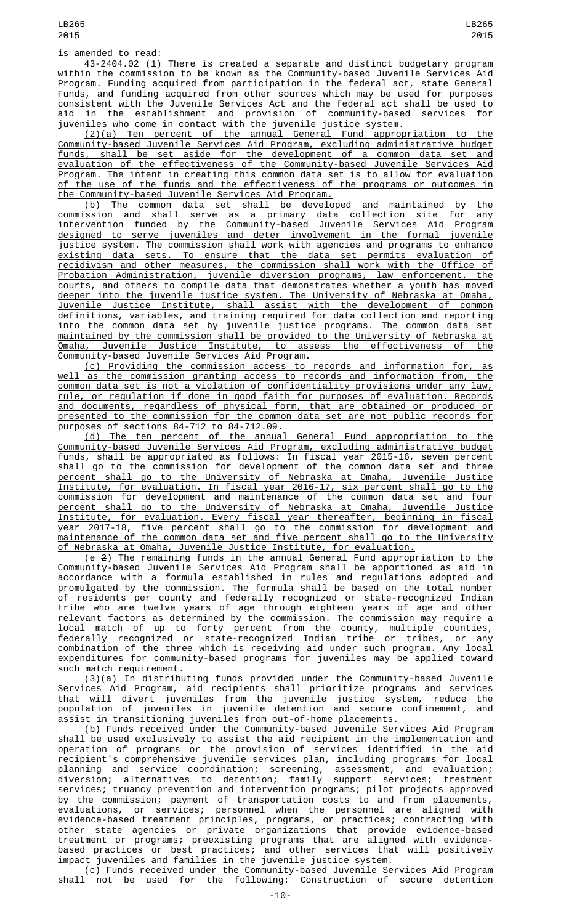43-2404.02 (1) There is created a separate and distinct budgetary program within the commission to be known as the Community-based Juvenile Services Aid Program. Funding acquired from participation in the federal act, state General Funds, and funding acquired from other sources which may be used for purposes consistent with the Juvenile Services Act and the federal act shall be used to aid in the establishment and provision of community-based services for juveniles who come in contact with the juvenile justice system.

(2)(a) Ten percent of the annual General Fund appropriation to the Community-based Juvenile Services Aid Program, excluding administrative budget funds, shall be set aside for the development of a common data set and evaluation of the effectiveness of the Community-based Juvenile Services Aid Program. The intent in creating this common data set is to allow for evaluation of the use of the funds and the effectiveness of the programs or outcomes in the Community-based Juvenile Services Aid Program.

(b) The common data set shall be developed and maintained by the commission and shall serve as a primary data collection site for any intervention funded by the Community-based Juvenile Services Aid Program designed to serve juveniles and deter involvement in the formal juvenile justice system. The commission shall work with agencies and programs to enhance existing data sets. To ensure that the data set permits evaluation of recidivism and other measures, the commission shall work with the Office of Probation Administration, juvenile diversion programs, law enforcement, the courts, and others to compile data that demonstrates whether a youth has moved deeper into the juvenile justice system. The University of Nebraska at Omaha, Juvenile Justice Institute, shall assist with the development of common definitions, variables, and training required for data collection and reporting into the common data set by juvenile justice programs. The common data set maintained by the commission shall be provided to the University of Nebraska at<br>Omaha, Juvenile Justice Institute, to assess the effectiveness of the Juvenile Justice Institute, to assess the effectiveness of the Community-based Juvenile Services Aid Program.

(c) Providing the commission access to records and information for, as well as the commission granting access to records and information from, the common data set is not a violation of confidentiality provisions under any law, rule, or regulation if done in good faith for purposes of evaluation. Records and documents, regardless of physical form, that are obtained or produced or presented to the commission for the common data set are not public records for purposes of sections 84-712 to 84-712.09.

(d) The ten percent of the annual General Fund appropriation to the Community-based Juvenile Services Aid Program, excluding administrative budget funds, shall be appropriated as follows: In fiscal year 2015-16, seven percent shall go to the commission for development of the common data set and three percent shall go to the University of Nebraska at Omaha, Juvenile Justice Institute, for evaluation. In fiscal year 2016-17, six percent shall go to the commission for development and maintenance of the common data set and four percent shall go to the University of Nebraska at Omaha, Juvenile Justice Institute, for evaluation. Every fiscal year thereafter, beginning in fiscal year 2017-18, five percent shall go to the commission for development and maintenance of the common data set and five percent shall go to the University of Nebraska at Omaha, Juvenile Justice Institute, for evaluation.

(<u>e</u> 2) The <u>remaining funds in the a</u>nnual General Fund appropriation to the Community-based Juvenile Services Aid Program shall be apportioned as aid in accordance with a formula established in rules and regulations adopted and promulgated by the commission. The formula shall be based on the total number of residents per county and federally recognized or state-recognized Indian tribe who are twelve years of age through eighteen years of age and other relevant factors as determined by the commission. The commission may require a local match of up to forty percent from the county, multiple counties, federally recognized or state-recognized Indian tribe or tribes, or any combination of the three which is receiving aid under such program. Any local expenditures for community-based programs for juveniles may be applied toward such match requirement.

(3)(a) In distributing funds provided under the Community-based Juvenile Services Aid Program, aid recipients shall prioritize programs and services that will divert juveniles from the juvenile justice system, reduce the population of juveniles in juvenile detention and secure confinement, and assist in transitioning juveniles from out-of-home placements.

(b) Funds received under the Community-based Juvenile Services Aid Program shall be used exclusively to assist the aid recipient in the implementation and operation of programs or the provision of services identified in the aid recipient's comprehensive juvenile services plan, including programs for local planning and service coordination; screening, assessment, and evaluation; diversion; alternatives to detention; family support services; treatment services; truancy prevention and intervention programs; pilot projects approved by the commission; payment of transportation costs to and from placements, evaluations, or services; personnel when the personnel are aligned with evidence-based treatment principles, programs, or practices; contracting with other state agencies or private organizations that provide evidence-based treatment or programs; preexisting programs that are aligned with evidencebased practices or best practices; and other services that will positively impact juveniles and families in the juvenile justice system.

(c) Funds received under the Community-based Juvenile Services Aid Program shall not be used for the following: Construction of secure detention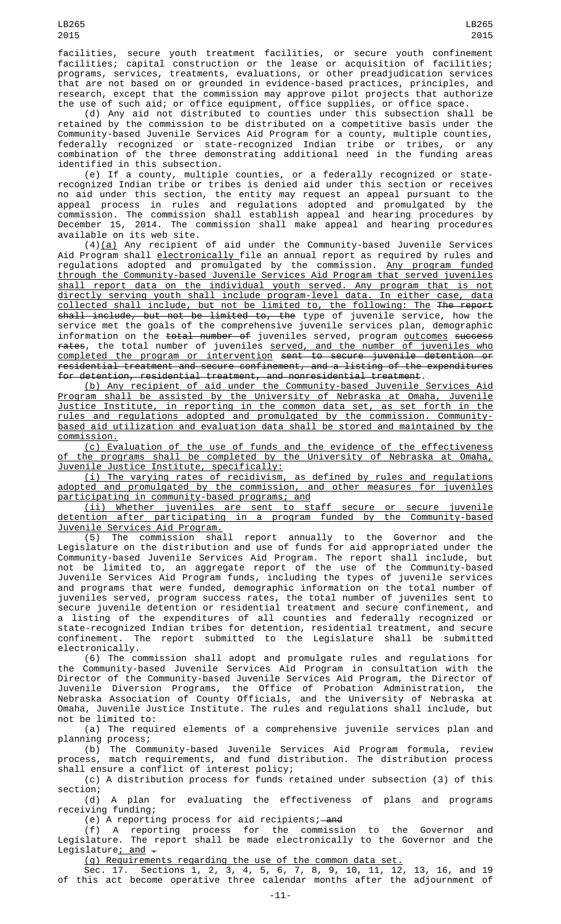facilities, secure youth treatment facilities, or secure youth confinement facilities; capital construction or the lease or acquisition of facilities; programs, services, treatments, evaluations, or other preadjudication services that are not based on or grounded in evidence-based practices, principles, and research, except that the commission may approve pilot projects that authorize the use of such aid; or office equipment, office supplies, or office space.

(d) Any aid not distributed to counties under this subsection shall be retained by the commission to be distributed on a competitive basis under the Community-based Juvenile Services Aid Program for a county, multiple counties, federally recognized or state-recognized Indian tribe or tribes, or any combination of the three demonstrating additional need in the funding areas identified in this subsection.

(e) If a county, multiple counties, or a federally recognized or staterecognized Indian tribe or tribes is denied aid under this section or receives no aid under this section, the entity may request an appeal pursuant to the appeal process in rules and regulations adopted and promulgated by the commission. The commission shall establish appeal and hearing procedures by December 15, 2014. The commission shall make appeal and hearing procedures available on its web site.

 $(4)(a)$  Any recipient of aid under the Community-based Juvenile Services Aid Program shall electronically file an annual report as required by rules and regulations adopted and promulgated by the commission. Any program funded through the Community-based Juvenile Services Aid Program that served juveniles shall report data on the individual youth served. Any program that is not directly serving youth shall include program-level data. In either case, data collected shall include, but not be limited to, the following: The The report shall include, but not be limited to, the type of juvenile service, how the service met the goals of the comprehensive juvenile services plan, demographic information on the <del>total number of</del> juveniles served, program <u>outcomes</u> <del>success</del> rates, the total number of juveniles served, and the number of juveniles who completed the program or intervention sent to secure juvenile detention or residential treatment and secure confinement, and a listing of the expenditures for detention, residential treatment, and nonresidential treatment.

(b) Any recipient of aid under the Community-based Juvenile Services Aid Program shall be assisted by the University of Nebraska at Omaha, Juvenile Justice Institute, in reporting in the common data set, as set forth in the rules and regulations adopted and promulgated by the commission. Communitybased aid utilization and evaluation data shall be stored and maintained by the commission.

(c) Evaluation of the use of funds and the evidence of the effectiveness of the programs shall be completed by the University of Nebraska at Omaha, Juvenile Justice Institute, specifically:

(i) The varying rates of recidivism, as defined by rules and regulations adopted and promulgated by the commission, and other measures for juveniles participating in community-based programs; and

(ii) Whether juveniles are sent to staff secure or secure juvenile detention after participating in a program funded by the Community-based Juvenile Services Aid Program.

(5) The commission shall report annually to the Governor and the Legislature on the distribution and use of funds for aid appropriated under the Community-based Juvenile Services Aid Program. The report shall include, but not be limited to, an aggregate report of the use of the Community-based Juvenile Services Aid Program funds, including the types of juvenile services and programs that were funded, demographic information on the total number of juveniles served, program success rates, the total number of juveniles sent to secure juvenile detention or residential treatment and secure confinement, and a listing of the expenditures of all counties and federally recognized or state-recognized Indian tribes for detention, residential treatment, and secure confinement. The report submitted to the Legislature shall be submitted electronically.

(6) The commission shall adopt and promulgate rules and regulations for the Community-based Juvenile Services Aid Program in consultation with the Director of the Community-based Juvenile Services Aid Program, the Director of Juvenile Diversion Programs, the Office of Probation Administration, the Nebraska Association of County Officials, and the University of Nebraska at Omaha, Juvenile Justice Institute. The rules and regulations shall include, but not be limited to:

(a) The required elements of a comprehensive juvenile services plan and planning process;

(b) The Community-based Juvenile Services Aid Program formula, review process, match requirements, and fund distribution. The distribution process shall ensure a conflict of interest policy;

(c) A distribution process for funds retained under subsection (3) of this section;

(d) A plan for evaluating the effectiveness of plans and programs receiving funding;

(e) A reporting process for aid recipients;—a<del>nd</del>

(f) A reporting process for the commission to the Governor and Legislature. The report shall be made electronically to the Governor and the Legislature; and  $-$ 

(g) Requirements regarding the use of the common data set.

Sec. 17. Sections 1, 2, 3, 4, 5, 6, 7, 8, 9, 10, 11, 12, 13, 16, and 19 of this act become operative three calendar months after the adjournment of

LB265